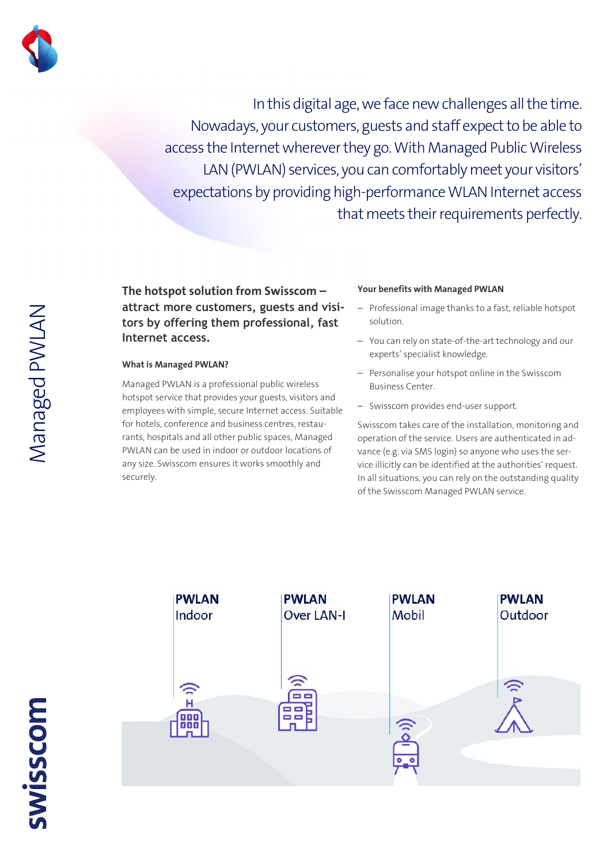

In this digital age, we face new challenges all the time. Nowadays, your customers, guests and staff expect to be able to access the Internet wherever they go. With Managed Public Wireless LAN (PWLAN) services, you can comfortably meet your visitors' expectations by providing high-performance WLAN Internet access that meets their requirements perfectly.

**The hotspot solution from Swisscom – attract more customers, guests and visitors by offering them professional, fast Internet access.** 

## **What is Managed PWLAN?**

Managed PWLAN is a professional public wireless hotspot service that provides your guests, visitors and employees with simple, secure Internet access. Suitable for hotels, conference and business centres, restaurants, hospitals and all other public spaces, Managed PWLAN can be used in indoor or outdoor locations of any size. Swisscom ensures it works smoothly and securely.

## **Your benefits with Managed PWLAN**

- Professional image thanks to a fast, reliable hotspot solution.
- You can rely on state-of-the-art technology and our experts' specialist knowledge.
- Personalise your hotspot online in the Swisscom Business Center.
- Swisscom provides end-user support.

Swisscom takes care of the installation, monitoring and operation of the service. Users are authenticated in advance (e.g. via SMS login) so anyone who uses the service illicitly can be identified at the authorities' request. In all situations, you can rely on the outstanding quality of the Swisscom Managed PWLAN service.